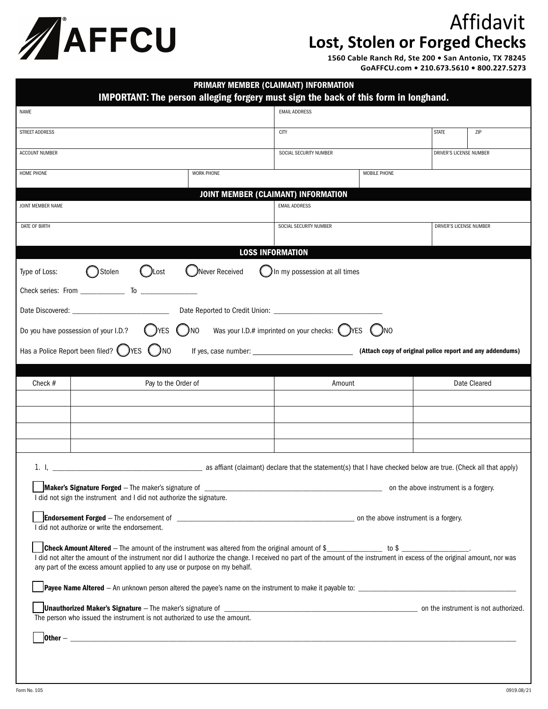

## Affidavit **Lost, Stolen or Forged Checks**

**1560 Cable Ranch Rd, Ste 200 • San Antonio, TX 78245 GoAFFCU.com • 210.673.5610 • 800.227.5273**

| PRIMARY MEMBER (CLAIMANT) INFORMATION<br>IMPORTANT: The person alleging forgery must sign the back of this form in longhand.                                                                                                                                                                                 |                                                                                                                |                         |  |  |  |
|--------------------------------------------------------------------------------------------------------------------------------------------------------------------------------------------------------------------------------------------------------------------------------------------------------------|----------------------------------------------------------------------------------------------------------------|-------------------------|--|--|--|
| NAME                                                                                                                                                                                                                                                                                                         | <b>EMAIL ADDRESS</b>                                                                                           |                         |  |  |  |
| STREET ADDRESS                                                                                                                                                                                                                                                                                               | <b>CITY</b>                                                                                                    | <b>STATE</b><br>ZIP     |  |  |  |
| <b>ACCOUNT NUMBER</b>                                                                                                                                                                                                                                                                                        | SOCIAL SECURITY NUMBER                                                                                         | DRIVER'S LICENSE NUMBER |  |  |  |
| <b>WORK PHONE</b><br>HOME PHONE                                                                                                                                                                                                                                                                              | MOBILE PHONE                                                                                                   |                         |  |  |  |
| JOINT MEMBER (CLAIMANT) INFORMATION                                                                                                                                                                                                                                                                          |                                                                                                                |                         |  |  |  |
| JOINT MEMBER NAME                                                                                                                                                                                                                                                                                            | <b>EMAIL ADDRESS</b>                                                                                           |                         |  |  |  |
| DATE OF BIRTH                                                                                                                                                                                                                                                                                                | SOCIAL SECURITY NUMBER                                                                                         | DRIVER'S LICENSE NUMBER |  |  |  |
| <b>LOSS INFORMATION</b>                                                                                                                                                                                                                                                                                      |                                                                                                                |                         |  |  |  |
| Never Received<br>Stolen<br>Type of Loss:<br>Lost                                                                                                                                                                                                                                                            | In my possession at all times                                                                                  |                         |  |  |  |
|                                                                                                                                                                                                                                                                                                              |                                                                                                                |                         |  |  |  |
| Date Discovered: National Property of the Discovered:                                                                                                                                                                                                                                                        |                                                                                                                |                         |  |  |  |
| )NO<br>Do you have possession of your I.D.?<br>)YES                                                                                                                                                                                                                                                          | Was your I.D.# imprinted on your checks: $\bigcirc$ YES<br>$\binom{1}{2}$ NO                                   |                         |  |  |  |
| Has a Police Report been filed? VES<br>$\bigcirc$<br>(Attach copy of original police report and any addendums)                                                                                                                                                                                               |                                                                                                                |                         |  |  |  |
|                                                                                                                                                                                                                                                                                                              |                                                                                                                |                         |  |  |  |
| Check #<br>Pay to the Order of                                                                                                                                                                                                                                                                               | Amount                                                                                                         | Date Cleared            |  |  |  |
|                                                                                                                                                                                                                                                                                                              |                                                                                                                |                         |  |  |  |
|                                                                                                                                                                                                                                                                                                              |                                                                                                                |                         |  |  |  |
|                                                                                                                                                                                                                                                                                                              |                                                                                                                |                         |  |  |  |
| 1. I.                                                                                                                                                                                                                                                                                                        | as affiant (claimant) declare that the statement(s) that I have checked below are true. (Check all that apply) |                         |  |  |  |
| Maker's Signature Forged - The maker's signature of <b>Conservative Conservative Conservative Conservative Conservative Conservative Conservative Conservative Conservative Conservative Conservative Conservative Conservative </b><br>I did not sign the instrument and I did not authorize the signature. |                                                                                                                |                         |  |  |  |
| I did not authorize or write the endorsement.                                                                                                                                                                                                                                                                |                                                                                                                |                         |  |  |  |
| I did not alter the amount of the instrument nor did I authorize the change. I received no part of the amount of the instrument in excess of the original amount, nor was<br>any part of the excess amount applied to any use or purpose on my behalf.                                                       |                                                                                                                |                         |  |  |  |
|                                                                                                                                                                                                                                                                                                              |                                                                                                                |                         |  |  |  |
| The person who issued the instrument is not authorized to use the amount.                                                                                                                                                                                                                                    |                                                                                                                |                         |  |  |  |
|                                                                                                                                                                                                                                                                                                              |                                                                                                                |                         |  |  |  |